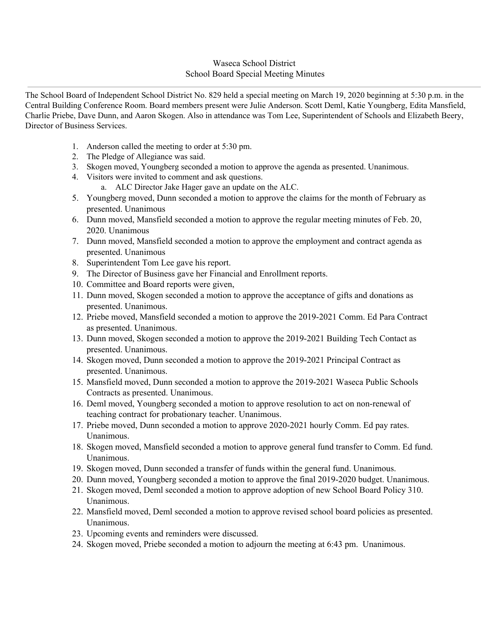## Waseca School District School Board Special Meeting Minutes

The School Board of Independent School District No. 829 held a special meeting on March 19, 2020 beginning at 5:30 p.m. in the Central Building Conference Room. Board members present were Julie Anderson. Scott Deml, Katie Youngberg, Edita Mansfield, Charlie Priebe, Dave Dunn, and Aaron Skogen. Also in attendance was Tom Lee, Superintendent of Schools and Elizabeth Beery, Director of Business Services.

- 1. Anderson called the meeting to order at 5:30 pm.
- 2. The Pledge of Allegiance was said.
- 3. Skogen moved, Youngberg seconded a motion to approve the agenda as presented. Unanimous.
- 4. Visitors were invited to comment and ask questions.
	- a. ALC Director Jake Hager gave an update on the ALC.
- 5. Youngberg moved, Dunn seconded a motion to approve the claims for the month of February as presented. Unanimous
- 6. Dunn moved, Mansfield seconded a motion to approve the regular meeting minutes of Feb. 20, 2020. Unanimous
- 7. Dunn moved, Mansfield seconded a motion to approve the employment and contract agenda as presented. Unanimous
- 8. Superintendent Tom Lee gave his report.
- 9. The Director of Business gave her Financial and Enrollment reports.
- 10. Committee and Board reports were given,
- 11. Dunn moved, Skogen seconded a motion to approve the acceptance of gifts and donations as presented. Unanimous.
- 12. Priebe moved, Mansfield seconded a motion to approve the 2019-2021 Comm. Ed Para Contract as presented. Unanimous.
- 13. Dunn moved, Skogen seconded a motion to approve the 2019-2021 Building Tech Contact as presented. Unanimous.
- 14. Skogen moved, Dunn seconded a motion to approve the 2019-2021 Principal Contract as presented. Unanimous.
- 15. Mansfield moved, Dunn seconded a motion to approve the 2019-2021 Waseca Public Schools Contracts as presented. Unanimous.
- 16. Deml moved, Youngberg seconded a motion to approve resolution to act on non-renewal of teaching contract for probationary teacher. Unanimous.
- 17. Priebe moved, Dunn seconded a motion to approve 2020-2021 hourly Comm. Ed pay rates. Unanimous.
- 18. Skogen moved, Mansfield seconded a motion to approve general fund transfer to Comm. Ed fund. Unanimous.
- 19. Skogen moved, Dunn seconded a transfer of funds within the general fund. Unanimous.
- 20. Dunn moved, Youngberg seconded a motion to approve the final 2019-2020 budget. Unanimous.
- 21. Skogen moved, Deml seconded a motion to approve adoption of new School Board Policy 310. Unanimous.
- 22. Mansfield moved, Deml seconded a motion to approve revised school board policies as presented. Unanimous.
- 23. Upcoming events and reminders were discussed.
- 24. Skogen moved, Priebe seconded a motion to adjourn the meeting at 6:43 pm. Unanimous.